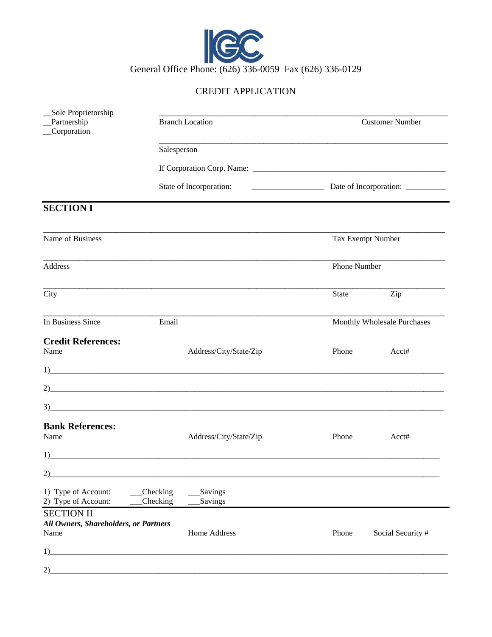

## CREDIT APPLICATION

| _Sole Proprietorship<br>_Partnership<br>Corporation                | <b>Branch Location</b>  |                        | <b>Customer Number</b>             |                   |
|--------------------------------------------------------------------|-------------------------|------------------------|------------------------------------|-------------------|
|                                                                    | Salesperson             |                        |                                    |                   |
|                                                                    | State of Incorporation: |                        |                                    |                   |
|                                                                    |                         |                        | Date of Incorporation: ___________ |                   |
| <b>SECTION I</b>                                                   |                         |                        |                                    |                   |
| Name of Business                                                   |                         |                        | Tax Exempt Number                  |                   |
| Address                                                            |                         |                        | Phone Number                       |                   |
| City                                                               |                         |                        | State                              | Zip               |
| In Business Since                                                  | Email                   |                        | Monthly Wholesale Purchases        |                   |
| <b>Credit References:</b><br>Name                                  |                         | Address/City/State/Zip | Phone                              | Acct#             |
|                                                                    |                         |                        |                                    |                   |
|                                                                    |                         |                        |                                    |                   |
| 3)                                                                 |                         |                        |                                    |                   |
| <b>Bank References:</b><br>Name                                    |                         | Address/City/State/Zip | Phone                              | Acct#             |
| 1)                                                                 |                         |                        |                                    |                   |
| 2)                                                                 |                         |                        |                                    |                   |
| 1) Type of Account:<br>2) Type of Account:                         | Checking<br>Checking    | Savings<br>Savings     |                                    |                   |
| <b>SECTION II</b><br>All Owners, Shareholders, or Partners<br>Name |                         | <b>Home Address</b>    | Phone                              | Social Security # |
| 1)                                                                 |                         |                        |                                    |                   |
| 2)                                                                 |                         |                        |                                    |                   |